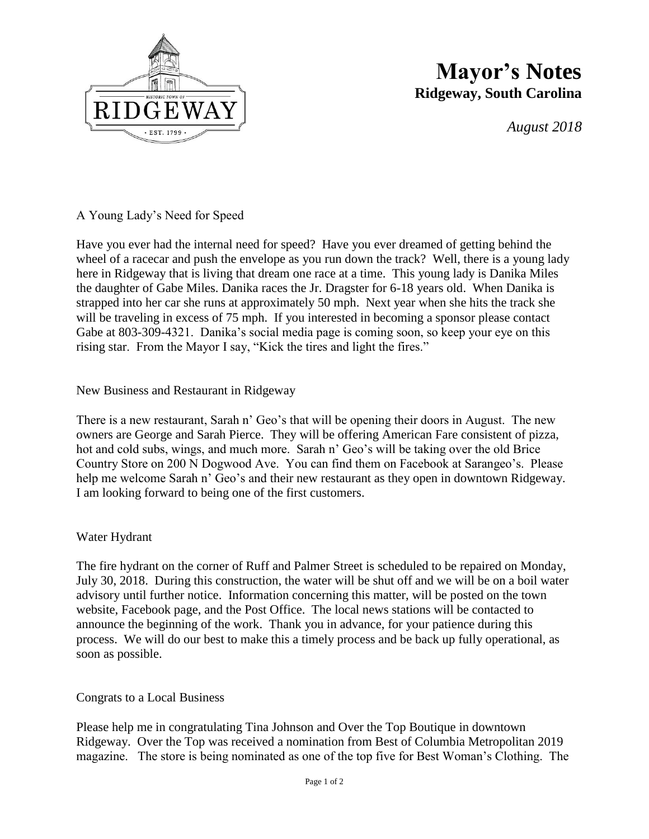

## **Mayor's Notes Ridgeway, South Carolina**

*August 2018*

A Young Lady's Need for Speed

Have you ever had the internal need for speed? Have you ever dreamed of getting behind the wheel of a racecar and push the envelope as you run down the track? Well, there is a young lady here in Ridgeway that is living that dream one race at a time. This young lady is Danika Miles the daughter of Gabe Miles. Danika races the Jr. Dragster for 6-18 years old. When Danika is strapped into her car she runs at approximately 50 mph. Next year when she hits the track she will be traveling in excess of 75 mph. If you interested in becoming a sponsor please contact Gabe at 803-309-4321. Danika's social media page is coming soon, so keep your eye on this rising star. From the Mayor I say, "Kick the tires and light the fires."

#### New Business and Restaurant in Ridgeway

There is a new restaurant, Sarah n' Geo's that will be opening their doors in August. The new owners are George and Sarah Pierce. They will be offering American Fare consistent of pizza, hot and cold subs, wings, and much more. Sarah n' Geo's will be taking over the old Brice Country Store on 200 N Dogwood Ave. You can find them on Facebook at Sarangeo's. Please help me welcome Sarah n' Geo's and their new restaurant as they open in downtown Ridgeway. I am looking forward to being one of the first customers.

#### Water Hydrant

The fire hydrant on the corner of Ruff and Palmer Street is scheduled to be repaired on Monday, July 30, 2018. During this construction, the water will be shut off and we will be on a boil water advisory until further notice. Information concerning this matter, will be posted on the town website, Facebook page, and the Post Office. The local news stations will be contacted to announce the beginning of the work. Thank you in advance, for your patience during this process. We will do our best to make this a timely process and be back up fully operational, as soon as possible.

#### Congrats to a Local Business

Please help me in congratulating Tina Johnson and Over the Top Boutique in downtown Ridgeway. Over the Top was received a nomination from Best of Columbia Metropolitan 2019 magazine. The store is being nominated as one of the top five for Best Woman's Clothing. The